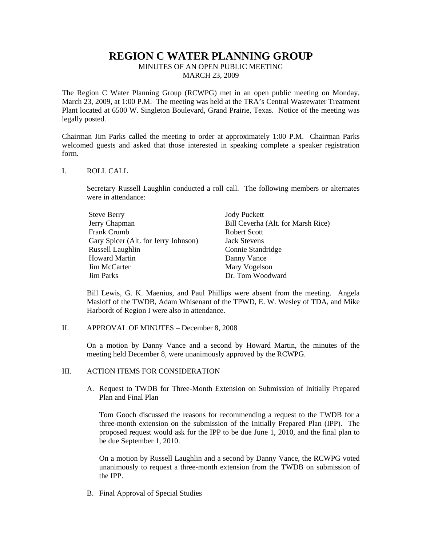# **REGION C WATER PLANNING GROUP**

MINUTES OF AN OPEN PUBLIC MEETING MARCH 23, 2009

The Region C Water Planning Group (RCWPG) met in an open public meeting on Monday, March 23, 2009, at 1:00 P.M. The meeting was held at the TRA's Central Wastewater Treatment Plant located at 6500 W. Singleton Boulevard, Grand Prairie, Texas. Notice of the meeting was legally posted.

Chairman Jim Parks called the meeting to order at approximately 1:00 P.M. Chairman Parks welcomed guests and asked that those interested in speaking complete a speaker registration form.

#### I. ROLL CALL

Secretary Russell Laughlin conducted a roll call. The following members or alternates were in attendance:

| <b>Steve Berry</b>                   | <b>Jody Puckett</b>                |
|--------------------------------------|------------------------------------|
| Jerry Chapman                        | Bill Ceverha (Alt. for Marsh Rice) |
| <b>Frank Crumb</b>                   | Robert Scott                       |
| Gary Spicer (Alt. for Jerry Johnson) | <b>Jack Stevens</b>                |
| Russell Laughlin                     | Connie Standridge                  |
| Howard Martin                        | Danny Vance                        |
| Jim McCarter                         | Mary Vogelson                      |
| Jim Parks                            | Dr. Tom Woodward                   |

Bill Lewis, G. K. Maenius, and Paul Phillips were absent from the meeting. Angela Masloff of the TWDB, Adam Whisenant of the TPWD, E. W. Wesley of TDA, and Mike Harbordt of Region I were also in attendance.

II. APPROVAL OF MINUTES – December 8, 2008

On a motion by Danny Vance and a second by Howard Martin, the minutes of the meeting held December 8, were unanimously approved by the RCWPG.

#### III. ACTION ITEMS FOR CONSIDERATION

A. Request to TWDB for Three-Month Extension on Submission of Initially Prepared Plan and Final Plan

Tom Gooch discussed the reasons for recommending a request to the TWDB for a three-month extension on the submission of the Initially Prepared Plan (IPP). The proposed request would ask for the IPP to be due June 1, 2010, and the final plan to be due September 1, 2010.

On a motion by Russell Laughlin and a second by Danny Vance, the RCWPG voted unanimously to request a three-month extension from the TWDB on submission of the IPP.

B. Final Approval of Special Studies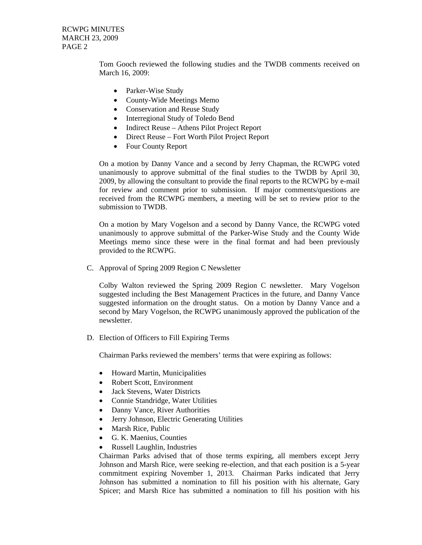RCWPG MINUTES MARCH 23, 2009 PAGE 2

> Tom Gooch reviewed the following studies and the TWDB comments received on March 16, 2009:

- Parker-Wise Study
- County-Wide Meetings Memo
- Conservation and Reuse Study
- Interregional Study of Toledo Bend
- Indirect Reuse Athens Pilot Project Report
- Direct Reuse Fort Worth Pilot Project Report
- Four County Report

On a motion by Danny Vance and a second by Jerry Chapman, the RCWPG voted unanimously to approve submittal of the final studies to the TWDB by April 30, 2009, by allowing the consultant to provide the final reports to the RCWPG by e-mail for review and comment prior to submission. If major comments/questions are received from the RCWPG members, a meeting will be set to review prior to the submission to TWDB.

On a motion by Mary Vogelson and a second by Danny Vance, the RCWPG voted unanimously to approve submittal of the Parker-Wise Study and the County Wide Meetings memo since these were in the final format and had been previously provided to the RCWPG.

C. Approval of Spring 2009 Region C Newsletter

Colby Walton reviewed the Spring 2009 Region C newsletter. Mary Vogelson suggested including the Best Management Practices in the future, and Danny Vance suggested information on the drought status. On a motion by Danny Vance and a second by Mary Vogelson, the RCWPG unanimously approved the publication of the newsletter.

D. Election of Officers to Fill Expiring Terms

Chairman Parks reviewed the members' terms that were expiring as follows:

- Howard Martin, Municipalities
- Robert Scott, Environment
- Jack Stevens, Water Districts
- Connie Standridge, Water Utilities
- Danny Vance, River Authorities
- Jerry Johnson, Electric Generating Utilities
- Marsh Rice, Public
- G. K. Maenius, Counties
- Russell Laughlin, Industries

Chairman Parks advised that of those terms expiring, all members except Jerry Johnson and Marsh Rice, were seeking re-election, and that each position is a 5-year commitment expiring November 1, 2013. Chairman Parks indicated that Jerry Johnson has submitted a nomination to fill his position with his alternate, Gary Spicer; and Marsh Rice has submitted a nomination to fill his position with his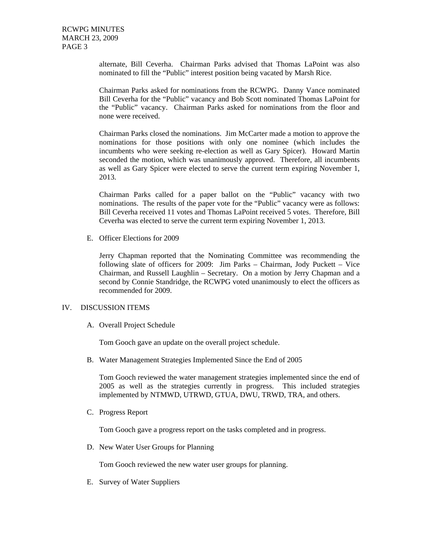alternate, Bill Ceverha. Chairman Parks advised that Thomas LaPoint was also nominated to fill the "Public" interest position being vacated by Marsh Rice.

Chairman Parks asked for nominations from the RCWPG. Danny Vance nominated Bill Ceverha for the "Public" vacancy and Bob Scott nominated Thomas LaPoint for the "Public" vacancy. Chairman Parks asked for nominations from the floor and none were received.

Chairman Parks closed the nominations. Jim McCarter made a motion to approve the nominations for those positions with only one nominee (which includes the incumbents who were seeking re-election as well as Gary Spicer). Howard Martin seconded the motion, which was unanimously approved. Therefore, all incumbents as well as Gary Spicer were elected to serve the current term expiring November 1, 2013.

Chairman Parks called for a paper ballot on the "Public" vacancy with two nominations. The results of the paper vote for the "Public" vacancy were as follows: Bill Ceverha received 11 votes and Thomas LaPoint received 5 votes. Therefore, Bill Ceverha was elected to serve the current term expiring November 1, 2013.

E. Officer Elections for 2009

Jerry Chapman reported that the Nominating Committee was recommending the following slate of officers for 2009: Jim Parks – Chairman, Jody Puckett – Vice Chairman, and Russell Laughlin – Secretary. On a motion by Jerry Chapman and a second by Connie Standridge, the RCWPG voted unanimously to elect the officers as recommended for 2009.

#### IV. DISCUSSION ITEMS

A. Overall Project Schedule

Tom Gooch gave an update on the overall project schedule.

B. Water Management Strategies Implemented Since the End of 2005

Tom Gooch reviewed the water management strategies implemented since the end of 2005 as well as the strategies currently in progress. This included strategies implemented by NTMWD, UTRWD, GTUA, DWU, TRWD, TRA, and others.

C. Progress Report

Tom Gooch gave a progress report on the tasks completed and in progress.

D. New Water User Groups for Planning

Tom Gooch reviewed the new water user groups for planning.

E. Survey of Water Suppliers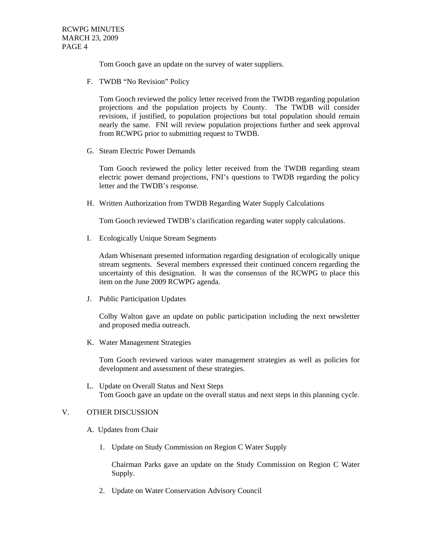Tom Gooch gave an update on the survey of water suppliers.

F. TWDB "No Revision" Policy

Tom Gooch reviewed the policy letter received from the TWDB regarding population projections and the population projects by County. The TWDB will consider revisions, if justified, to population projections but total population should remain nearly the same. FNI will review population projections further and seek approval from RCWPG prior to submitting request to TWDB.

G. Steam Electric Power Demands

Tom Gooch reviewed the policy letter received from the TWDB regarding steam electric power demand projections, FNI's questions to TWDB regarding the policy letter and the TWDB's response.

H. Written Authorization from TWDB Regarding Water Supply Calculations

Tom Gooch reviewed TWDB's clarification regarding water supply calculations.

I. Ecologically Unique Stream Segments

Adam Whisenant presented information regarding designation of ecologically unique stream segments. Several members expressed their continued concern regarding the uncertainty of this designation. It was the consensus of the RCWPG to place this item on the June 2009 RCWPG agenda.

J. Public Participation Updates

Colby Walton gave an update on public participation including the next newsletter and proposed media outreach.

K. Water Management Strategies

Tom Gooch reviewed various water management strategies as well as policies for development and assessment of these strategies.

L. Update on Overall Status and Next Steps Tom Gooch gave an update on the overall status and next steps in this planning cycle.

### V. OTHER DISCUSSION

- A. Updates from Chair
	- 1. Update on Study Commission on Region C Water Supply

Chairman Parks gave an update on the Study Commission on Region C Water Supply.

2. Update on Water Conservation Advisory Council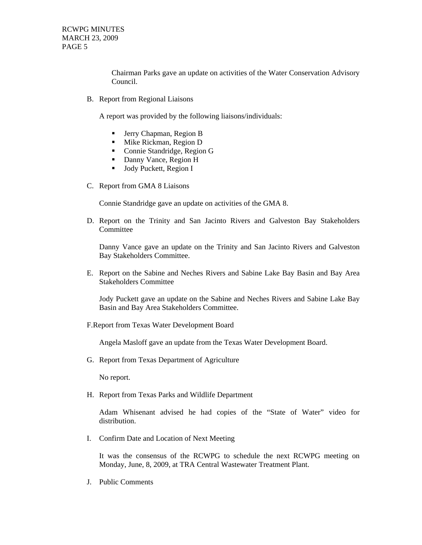RCWPG MINUTES MARCH 23, 2009 PAGE 5

> Chairman Parks gave an update on activities of the Water Conservation Advisory Council.

B. Report from Regional Liaisons

A report was provided by the following liaisons/individuals:

- Jerry Chapman, Region B
- **Mike Rickman, Region D**
- Connie Standridge, Region G
- Danny Vance, Region H
- **Jody Puckett, Region I**
- C. Report from GMA 8 Liaisons

Connie Standridge gave an update on activities of the GMA 8.

D. Report on the Trinity and San Jacinto Rivers and Galveston Bay Stakeholders **Committee** 

Danny Vance gave an update on the Trinity and San Jacinto Rivers and Galveston Bay Stakeholders Committee.

E. Report on the Sabine and Neches Rivers and Sabine Lake Bay Basin and Bay Area Stakeholders Committee

Jody Puckett gave an update on the Sabine and Neches Rivers and Sabine Lake Bay Basin and Bay Area Stakeholders Committee.

F.Report from Texas Water Development Board

Angela Masloff gave an update from the Texas Water Development Board.

G. Report from Texas Department of Agriculture

No report.

H. Report from Texas Parks and Wildlife Department

Adam Whisenant advised he had copies of the "State of Water" video for distribution.

I. Confirm Date and Location of Next Meeting

 It was the consensus of the RCWPG to schedule the next RCWPG meeting on Monday, June, 8, 2009, at TRA Central Wastewater Treatment Plant.

J. Public Comments